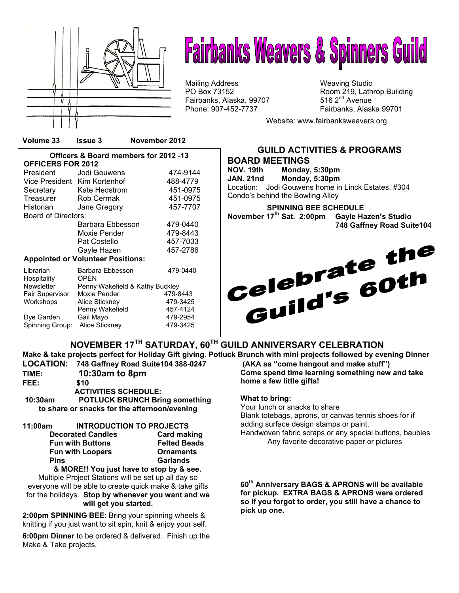

# **Fairbanks Weavers & Spinners Guild**

Mailing Address Mail in the Weaving Studio<br>
Mailing Address Manus (Weaving Studio PO Box 73152 Fairbanks, Alaska, 99707

Room 219, Lathrop Building 516  $2<sup>nd</sup>$  Avenue Phone: 907-452-7737 Fairbanks, Alaska 99701

Website: www.fairbanksweavers.org

**Officers & Board members for 2012 -13 OFFICERS FOR 2012**  President Jodi Gouwens 474-9144 Vice President Kim Kortenhof 488-4779 Secretary Kate Hedstrom 451-0975 Treasurer Rob Cermak 451-0975 Historian Jane Gregory 457-7707 Board of Directors: Barbara Ebbesson 479-0440 Moxie Pender 479-8443 Pat Costello 457-7033 Gayle Hazen 457-2786 **Appointed or Volunteer Positions:** Librarian Barbara Ebbesson 479-0440 Hospitality OPEN Newsletter Penny Wakefield & Kathy Buckley Fair Supervisor Moxie Pender **479-8443**<br>
Workshops Alice Stickney 479-3425 Workshops Alice Stickney 479-3425<br>Penny Wakefield 457-4124 Penny Wakefield **457-4124**<br>Gail Mayo 479-2954 Dye Garden Gail Mayo 479-2954 Spinning Group: Alice Stickney



**NOVEMBER 17TH SATURDAY, 60TH GUILD ANNIVERSARY CELEBRATION Make & take projects perfect for Holiday Gift giving. Potluck Brunch with mini projects followed by evening Dinner** 

**TIME: 10:30am to 8pm FEE: \$10 ACTIVITIES SCHEDULE: 10:30am POTLUCK BRUNCH Bring something to share or snacks for the afternoon/evening 11:00am INTRODUCTION TO PROJECTS Decorated Candles Card making Fun with Buttons Felted Beads Fun with Loopers Ornaments** 

 **& MORE!! You just have to stop by & see.**  Multiple Project Stations will be set up all day so everyone will be able to create quick make & take gifts for the holidays. **Stop by whenever you want and we will get you started.** 

**Pins Garlands** 

**2:00pm SPINNING BEE**: Bring your spinning wheels & knitting if you just want to sit spin, knit & enjoy your self.

**6:00pm Dinner** to be ordered & delivered. Finish up the Make & Take projects.

**LOCATION: 748 Gaffney Road Suite104 388-0247 (AKA as "come hangout and make stuff") Come spend time learning something new and take home a few little gifts!** 

#### **What to bring:**

Your lunch or snacks to share Blank totebags, aprons, or canvas tennis shoes for if adding surface design stamps or paint.

Handwoven fabric scraps or any special buttons, baubles Any favorite decorative paper or pictures

**60th Anniversary BAGS & APRONS will be available for pickup. EXTRA BAGS & APRONS were ordered so if you forgot to order, you still have a chance to pick up one.**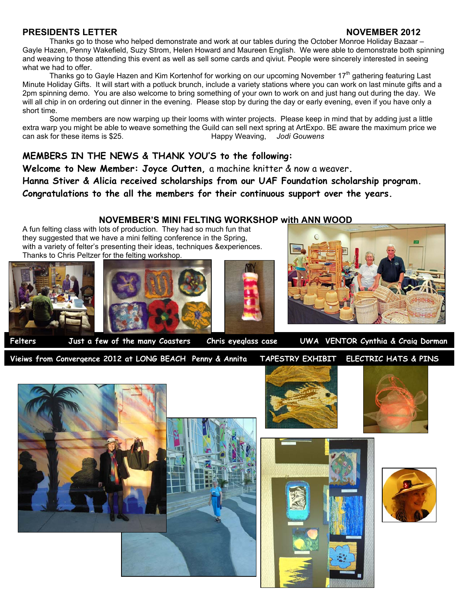#### **PRESIDENTS LETTER NOVEMBER 2012**

Thanks go to those who helped demonstrate and work at our tables during the October Monroe Holiday Bazaar – Gayle Hazen, Penny Wakefield, Suzy Strom, Helen Howard and Maureen English. We were able to demonstrate both spinning and weaving to those attending this event as well as sell some cards and qiviut. People were sincerely interested in seeing what we had to offer.

Thanks go to Gayle Hazen and Kim Kortenhof for working on our upcoming November 17<sup>th</sup> gathering featuring Last Minute Holiday Gifts. It will start with a potluck brunch, include a variety stations where you can work on last minute gifts and a 2pm spinning demo. You are also welcome to bring something of your own to work on and just hang out during the day. We will all chip in on ordering out dinner in the evening. Please stop by during the day or early evening, even if you have only a short time.

Some members are now warping up their looms with winter projects. Please keep in mind that by adding just a little extra warp you might be able to weave something the Guild can sell next spring at ArtExpo. BE aware the maximum price we<br>Happy Weaving, Jodi Gouwens can ask for these items is \$25.

#### **MEMBERS IN THE NEWS & THANK YOU'S to the following:**

**Welcome to New Member: Joyce Outten,** a machine knitter & now a weaver**. Hanna Stiver & Alicia received scholarships from our UAF Foundation scholarship program. Congratulations to the all the members for their continuous support over the years.** 

#### **NOVEMBER'S MINI FELTING WORKSHOP with ANN WOOD**

A fun felting class with lots of production. They had so much fun that they suggested that we have a mini felting conference in the Spring, with a variety of felter's presenting their ideas, techniques &experiences. Thanks to Chris Peltzer for the felting workshop.









**Felters Just a few of the many Coasters Chris eyeglass case UWA VENTOR Cynthia & Craig Dorman** 

**Vieiws from Convergence 2012 at LONG BEACH Penny & Annita TAPESTRY EXHIBIT ELECTRIC HATS & PINS** 







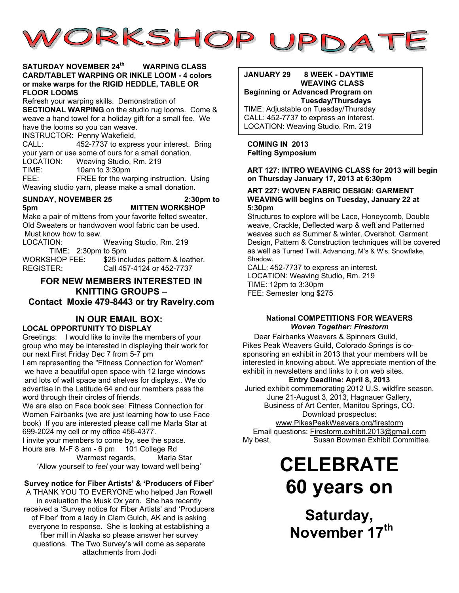

#### **SATURDAY NOVEMBER 24th WARPING CLASS CARD/TABLET WARPING OR INKLE LOOM - 4 colors or make warps for the RIGID HEDDLE, TABLE OR FLOOR LOOMS**

Refresh your warping skills. Demonstration of **SECTIONAL WARPING** on the studio rug looms. Come & weave a hand towel for a holiday gift for a small fee. We have the looms so you can weave.

INSTRUCTOR: Penny Wakefield,

CALL: 452-7737 to express your interest. Bring your yarn or use some of ours for a small donation.<br>LOCATION: Weaving Studio, Rm. 219

Weaving Studio, Rm. 219

TIME: 10am to 3:30pm

FEE: FREE for the warping instruction. Using Weaving studio yarn, please make a small donation.

#### **SUNDAY, NOVEMBER 25 2:30pm to 5pm MITTEN WORKSHOP**

Make a pair of mittens from your favorite felted sweater. Old Sweaters or handwoven wool fabric can be used. Must know how to sew.

LOCATION: Weaving Studio, Rm. 219 TIME: 2:30pm to 5pm WORKSHOP FEE: \$25 includes pattern & leather.<br>REGISTER: Call 457-4124 or 452-7737 Call 457-4124 or 452-7737

#### **FOR NEW MEMBERS INTERESTED IN KNITTING GROUPS – Contact Moxie 479-8443 or try Ravelry.com**

## **IN OUR EMAIL BOX:**

#### **LOCAL OPPORTUNITY TO DISPLAY**

Greetings: I would like to invite the members of your group who may be interested in displaying their work for our next First Friday Dec 7 from 5-7 pm

I am representing the "Fitness Connection for Women" we have a beautiful open space with 12 large windows and lots of wall space and shelves for displays.. We do advertise in the Latitude 64 and our members pass the word through their circles of friends.

We are also on Face book see: Fitness Connection for Women Fairbanks (we are just learning how to use Face book) If you are interested please call me Marla Star at 699-2024 my cell or my office 456-4377.

I invite your members to come by, see the space. Hours are M-F 8 am - 6 pm 101 College Rd Warmest regards, Marla Star 'Allow yourself to *feel* your way toward well being'

#### **Survey notice for Fiber Artists' & 'Producers of Fiber'**

A THANK YOU TO EVERYONE who helped Jan Rowell in evaluation the Musk Ox yarn. She has recently received a 'Survey notice for Fiber Artists' and 'Producers of Fiber' from a lady in Clam Gulch, AK and is asking everyone to response. She is looking at establishing a fiber mill in Alaska so please answer her survey questions. The Two Survey's will come as separate attachments from Jodi

#### **JANUARY 29 8 WEEK - DAYTIME WEAVING CLASS Beginning or Advanced Program on**

**Tuesday/Thursdays**  TIME: Adjustable on Tuesday/Thursday CALL: 452-7737 to express an interest. LOCATION: Weaving Studio, Rm. 219

**COMING IN 2013 Felting Symposium** 

#### **ART 127: INTRO WEAVING CLASS for 2013 will begin on Thursday January 17, 2013 at 6:30pm**

#### **ART 227: WOVEN FABRIC DESIGN: GARMENT WEAVING will begins on Tuesday, January 22 at 5:30pm**

Structures to explore will be Lace, Honeycomb, Double weave, Crackle, Deflected warp & weft and Patterned weaves such as Summer & winter, Overshot. Garment Design, Pattern & Construction techniques will be covered as well as Turned Twill, Advancing, M's & W's, Snowflake, Shadow.

CALL: 452-7737 to express an interest. LOCATION: Weaving Studio, Rm. 219 TIME: 12pm to 3:30pm FEE: Semester long \$275

#### **National COMPETITIONS FOR WEAVERS** *Woven Together: Firestorm*

Dear Fairbanks Weavers & Spinners Guild, Pikes Peak Weavers Guild, Colorado Springs is cosponsoring an exhibit in 2013 that your members will be interested in knowing about. We appreciate mention of the exhibit in newsletters and links to it on web sites.

#### **Entry Deadline: April 8, 2013**

Juried exhibit commemorating 2012 U.S. wildfire season. June 21-August 3, 2013, Hagnauer Gallery,

> Business of Art Center, Manitou Springs, CO. Download prospectus:

www.PikesPeakWeavers.org/firestorm Email questions: Firestorm.exhibit.2013@gmail.com My best, Susan Bowman Exhibit Committee

## **CELEBRATE 60 years on**

**Saturday, November 17th**